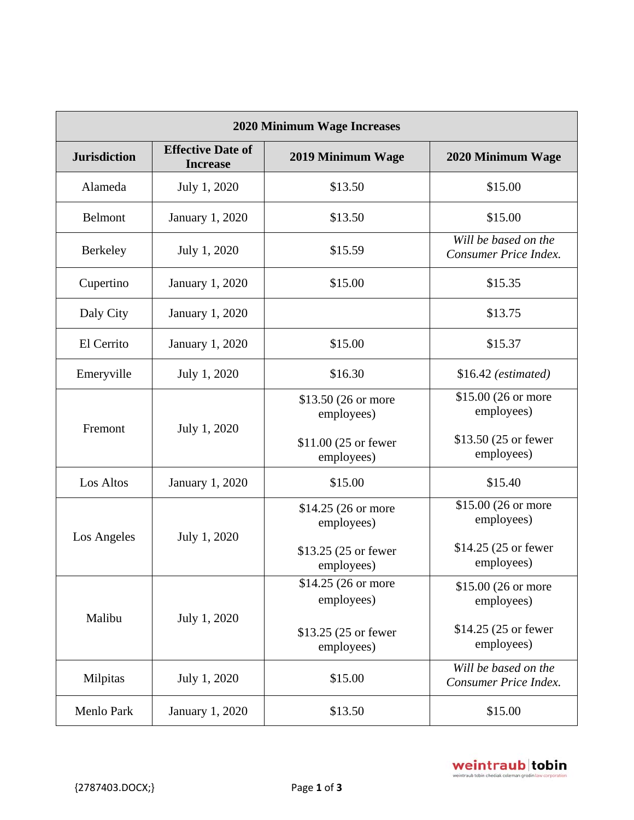| <b>2020 Minimum Wage Increases</b> |                                             |                                    |                                               |  |  |
|------------------------------------|---------------------------------------------|------------------------------------|-----------------------------------------------|--|--|
| <b>Jurisdiction</b>                | <b>Effective Date of</b><br><b>Increase</b> | 2019 Minimum Wage                  | 2020 Minimum Wage                             |  |  |
| Alameda                            | July 1, 2020                                | \$13.50                            | \$15.00                                       |  |  |
| <b>Belmont</b>                     | <b>January 1, 2020</b>                      | \$13.50                            | \$15.00                                       |  |  |
| <b>Berkeley</b>                    | July 1, 2020                                | \$15.59                            | Will be based on the<br>Consumer Price Index. |  |  |
| Cupertino                          | <b>January 1, 2020</b>                      | \$15.00                            | \$15.35                                       |  |  |
| Daly City                          | <b>January 1, 2020</b>                      |                                    | \$13.75                                       |  |  |
| El Cerrito                         | January 1, 2020                             | \$15.00                            | \$15.37                                       |  |  |
| Emeryville                         | July 1, 2020                                | \$16.30                            | $$16.42$ (estimated)                          |  |  |
| Fremont                            | July 1, 2020                                | \$13.50 (26 or more<br>employees)  | \$15.00 (26 or more<br>employees)             |  |  |
|                                    |                                             | \$11.00 (25 or fewer<br>employees) | \$13.50 (25 or fewer<br>employees)            |  |  |
| Los Altos                          | January 1, 2020                             | \$15.00                            | \$15.40                                       |  |  |
| Los Angeles                        | July 1, 2020                                | \$14.25 (26 or more<br>employees)  | \$15.00 (26 or more<br>employees)             |  |  |
|                                    |                                             | \$13.25 (25 or fewer<br>employees) | \$14.25 (25 or fewer<br>employees)            |  |  |
| Malibu                             | July 1, 2020                                | \$14.25 (26 or more<br>employees)  | \$15.00 (26 or more<br>employees)             |  |  |
|                                    |                                             | \$13.25 (25 or fewer<br>employees) | \$14.25 (25 or fewer<br>employees)            |  |  |
| Milpitas                           | July 1, 2020                                | \$15.00                            | Will be based on the<br>Consumer Price Index. |  |  |
| Menlo Park                         | January 1, 2020                             | \$13.50                            | \$15.00                                       |  |  |

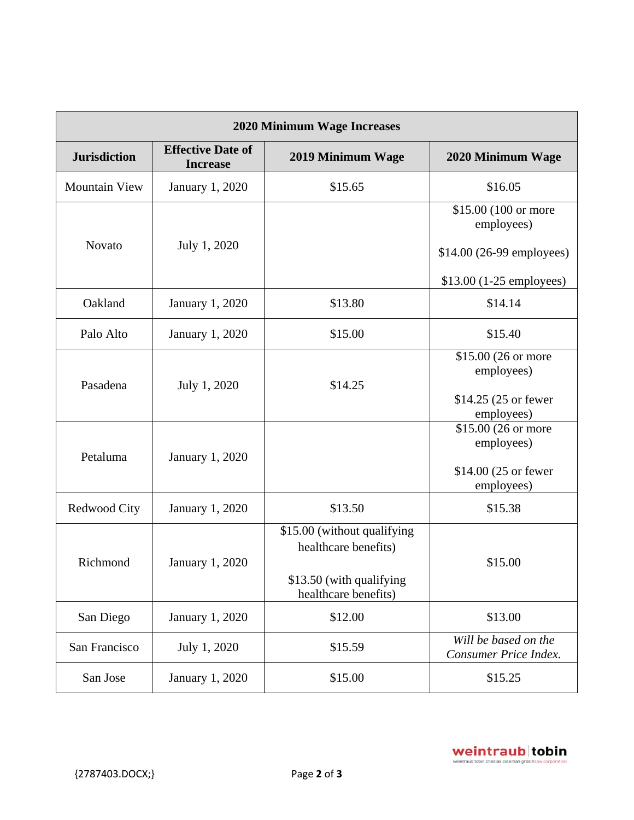| 2020 Minimum Wage Increases |                                             |                             |                                               |  |  |
|-----------------------------|---------------------------------------------|-----------------------------|-----------------------------------------------|--|--|
| <b>Jurisdiction</b>         | <b>Effective Date of</b><br><b>Increase</b> | 2019 Minimum Wage           | 2020 Minimum Wage                             |  |  |
| <b>Mountain View</b>        | January 1, 2020                             | \$15.65                     | \$16.05                                       |  |  |
| <b>Novato</b>               | July 1, 2020                                |                             | \$15.00 (100 or more<br>employees)            |  |  |
|                             |                                             |                             | \$14.00 (26-99 employees)                     |  |  |
|                             |                                             |                             | \$13.00 (1-25 employees)                      |  |  |
| Oakland                     | January 1, 2020                             | \$13.80                     | \$14.14                                       |  |  |
| Palo Alto                   | January 1, 2020                             | \$15.00                     | \$15.40                                       |  |  |
|                             | July 1, 2020                                | \$14.25                     | \$15.00 (26 or more<br>employees)             |  |  |
| Pasadena                    |                                             |                             |                                               |  |  |
|                             |                                             |                             | \$14.25 (25 or fewer<br>employees)            |  |  |
|                             |                                             |                             | \$15.00 (26 or more                           |  |  |
| Petaluma                    | January 1, 2020                             |                             | employees)                                    |  |  |
|                             |                                             |                             | \$14.00 (25 or fewer                          |  |  |
|                             |                                             |                             | employees)                                    |  |  |
| Redwood City                | <b>January 1, 2020</b>                      | \$13.50                     | \$15.38                                       |  |  |
| Richmond                    | <b>January 1, 2020</b>                      | \$15.00 (without qualifying |                                               |  |  |
|                             |                                             | healthcare benefits)        | \$15.00                                       |  |  |
|                             |                                             | \$13.50 (with qualifying    |                                               |  |  |
|                             |                                             | healthcare benefits)        |                                               |  |  |
| San Diego                   | January 1, 2020                             | \$12.00                     | \$13.00                                       |  |  |
| San Francisco               | July 1, 2020                                | \$15.59                     | Will be based on the<br>Consumer Price Index. |  |  |
| San Jose                    | January 1, 2020                             | \$15.00                     | \$15.25                                       |  |  |